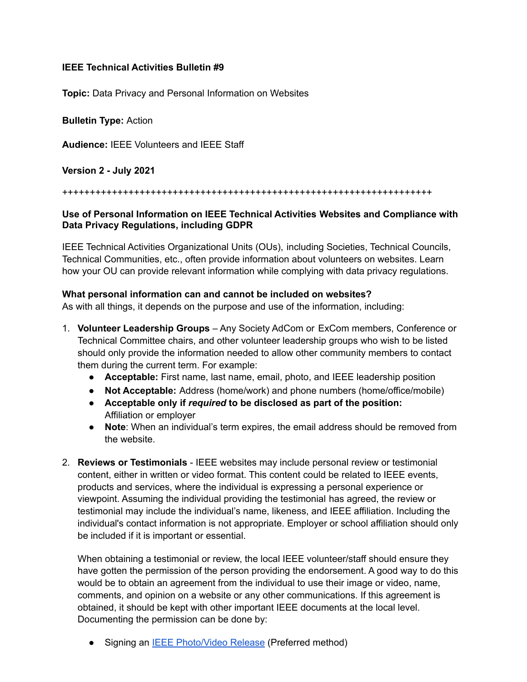## **IEEE Technical Activities Bulletin #9**

**Topic:** Data Privacy and Personal Information on Websites

**Bulletin Type:** Action

**Audience:** IEEE Volunteers and IEEE Staff

**Version 2 - July 2021**

#### +++++++++++++++++++++++++++++++++++++++++++++++++++++++++++++++++++

## **Use of Personal Information on IEEE Technical Activities Websites and Compliance with Data Privacy Regulations, including GDPR**

IEEE Technical Activities Organizational Units (OUs), including Societies, Technical Councils, Technical Communities, etc., often provide information about volunteers on websites. Learn how your OU can provide relevant information while complying with data privacy regulations.

## **What personal information can and cannot be included on websites?**

As with all things, it depends on the purpose and use of the information, including:

- 1. **Volunteer Leadership Groups** Any Society AdCom or ExCom members, Conference or Technical Committee chairs, and other volunteer leadership groups who wish to be listed should only provide the information needed to allow other community members to contact them during the current term. For example:
	- **Acceptable:** First name, last name, email, photo, and IEEE leadership position
	- **Not Acceptable:** Address (home/work) and phone numbers (home/office/mobile)
	- **Acceptable only if** *required* **to be disclosed as part of the position:** Affiliation or employer
	- **Note**: When an individual's term expires, the email address should be removed from the website.
- 2. **Reviews or Testimonials** IEEE websites may include personal review or testimonial content, either in written or video format. This content could be related to IEEE events, products and services, where the individual is expressing a personal experience or viewpoint. Assuming the individual providing the testimonial has agreed, the review or testimonial may include the individual's name, likeness, and IEEE affiliation. Including the individual's contact information is not appropriate. Employer or school affiliation should only be included if it is important or essential.

When obtaining a testimonial or review, the local IEEE volunteer/staff should ensure they have gotten the permission of the person providing the endorsement. A good way to do this would be to obtain an agreement from the individual to use their image or video, name, comments, and opinion on a website or any other communications. If this agreement is obtained, it should be kept with other important IEEE documents at the local level. Documenting the permission can be done by:

Signing an **IEEE [Photo/Video](https://ta.ieee.org/images/files/operations/gdpr/IEEE_PhotoReleaseForm_FromLegal-Oct2018.pdf) Release** (Preferred method)